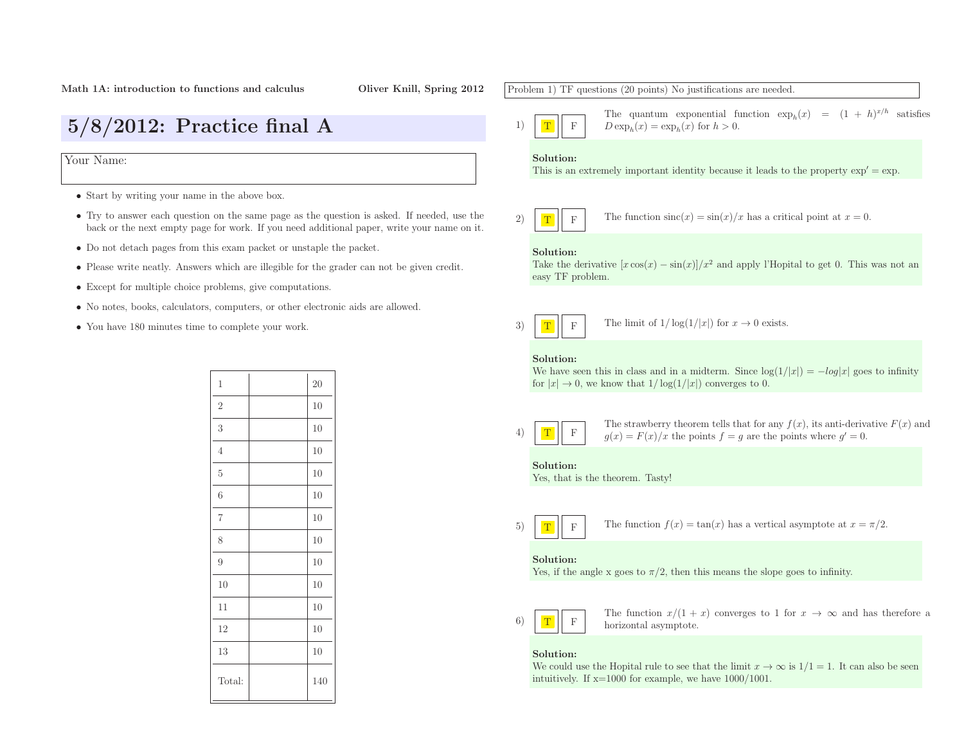# 5/8/2012: Practice final <sup>A</sup>

Your Name:

- Start by writing your name in the above box.
- Try to answer each question on the same page as the question is asked. If needed, use the back or the next empty page for work. If you need additional paper, write your name on it.
- Do not detach pages from this exam packet or unstaple the packet.
- Please write neatly. Answers which are illegible for the grader can not be <sup>g</sup>iven credit.
- Except for multiple choice problems, <sup>g</sup>ive computations.
- No notes, books, calculators, computers, or other electronic aids are allowed.
- You have <sup>180</sup> minutes time to complete your work.

| $\mathbf 1$    | 20     |
|----------------|--------|
| $\sqrt{2}$     | 10     |
| 3              | 10     |
| $\overline{4}$ | 10     |
| $\overline{5}$ | 10     |
| 6              | 10     |
| $\overline{7}$ | 10     |
| 8              | $10\,$ |
| 9              | 10     |
| 10             | 10     |
| 11             | 10     |
| 12             | $10\,$ |
| 13             | $10\,$ |
| Total:         | 140    |

Problem 1) TF questions (20 points) No justifications are needed. 1)TFThe quantum exponential function  $\exp_h(x) = (1 + h)^{x/h}$  satisfies  $D \exp_h(x) = \exp_h(x)$  for  $h > 0$ . Solution:This is an extremely important identity because it leads to the property  $\exp' = \exp$ . 2)TFThe function  $\operatorname{sinc}(x) = \sin(x)/x$  has a critical point at  $x = 0$ . Solution:Take the derivative  $[x \cos(x) - \sin(x)]/x^2$  and apply l'Hopital to get 0. This was not an easy TF problem. 3)TFF The limit of  $1/\log(1/|x|)$  for  $x \to 0$  exists. Solution:We have seen this in class and in a midterm. Since  $\log(1/|x|) = -log|x|$  goes to infinity for  $|x| \to 0$ , we know that  $1/\log(1/|x|)$  converges to 0. 4)TFThe strawberry theorem tells that for any  $f(x)$ , its anti-derivative  $F(x)$  and  $g(x) = F(x)/x$  the points  $f = g$  are the points where  $g' = 0$ . Solution: Yes, that is the theorem. Tasty! 5)TFThe function  $f(x) = \tan(x)$  has a vertical asymptote at  $x = \pi/2$ . Solution:Yes, if the angle x goes to  $\pi/2$ , then this means the slope goes to infinity. 6)TFThe function  $x/(1+x)$  converges to 1 for  $x \to \infty$  and has therefore a horizontal asymptote. horizontal asymptote. Solution:We could use the Hopital rule to see that the limit  $x \to \infty$  is  $1/1 = 1$ . It can also be seen<br>intuitively If  $x = 1000$  for example, we have  $1000/1001$ intuitively. If  $x=1000$  for example, we have  $1000/1001$ .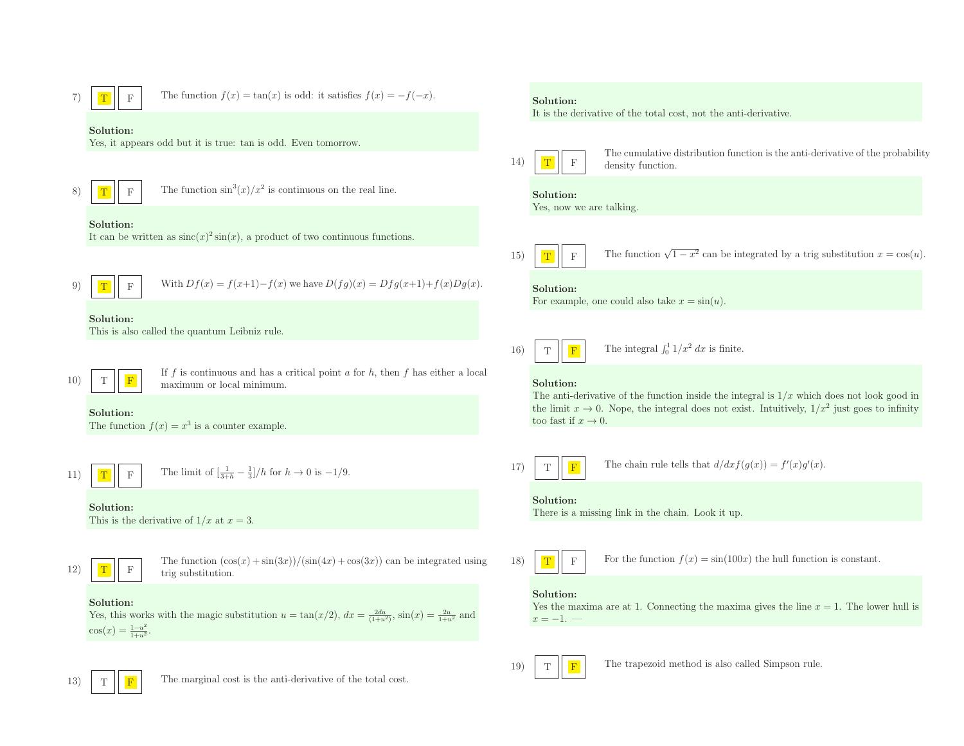7) T <sup>F</sup> The function <sup>f</sup>(x) <sup>=</sup> tan(x) is odd: it satisfies <sup>f</sup>(x) <sup>=</sup> <sup>−</sup>f(−<sup>x</sup>). Solution:Yes, it appears odd but it is true: tan is odd. Even tomorrow. 8) T <sup>F</sup> The function sin<sup>3</sup>(x)/x<sup>2</sup> is continuous on the real line. Solution:It can be written as sinc(x)<sup>2</sup> sin(x), <sup>a</sup> product of two continuous functions. 9) T <sup>F</sup> With Df(x) <sup>=</sup> <sup>f</sup>(x+1)−f(x) we have <sup>D</sup>(fg)(x) <sup>=</sup> Dfg(x+1)+f(x)Dg(x). Solution:This is also called the quantum Leibniz rule. 10) T <sup>F</sup> If <sup>f</sup> is continuous and has <sup>a</sup> critical point <sup>a</sup> for <sup>h</sup>, then <sup>f</sup> has either <sup>a</sup> local maximum or local minimum. Solution:The function f(x) <sup>=</sup> <sup>x</sup><sup>3</sup> is <sup>a</sup> counter example. 11) T <sup>F</sup> The limit of [ <sup>1</sup> 3+<sup>h</sup> <sup>−</sup> <sup>13</sup> ]/h for <sup>h</sup> <sup>→</sup> <sup>0</sup> is <sup>−</sup><sup>1</sup>/9. Solution:This is the derivative of <sup>1</sup>/x at <sup>x</sup> <sup>=</sup> 3. 12) T <sup>F</sup> The function (cos(x) <sup>+</sup> sin(3x))/(sin(4x) <sup>+</sup> cos(3x)) can be integrated using trig substitution. Solution:Yes, this works with the magic substitution <sup>u</sup> <sup>=</sup> tan(x/2), dx <sup>=</sup> <sup>2</sup>du (1+u<sup>2</sup>) , sin(x) <sup>=</sup> <sup>2</sup><sup>u</sup> 1+u<sup>2</sup> and cos(x) <sup>=</sup> <sup>1</sup>−u<sup>2</sup> 1+u<sup>2</sup> . Solution:It is the derivative of the total cost, not the anti-derivative. 14) T <sup>F</sup> The cumulative distribution function is the anti-derivative of the probability density function. Solution:Yes, now we are talking. 15) T <sup>F</sup> The function <sup>√</sup><sup>1</sup> <sup>−</sup> <sup>x</sup><sup>2</sup> can be integrated by <sup>a</sup> trig substitution <sup>x</sup> <sup>=</sup> cos(u). Solution:For example, one could also take <sup>x</sup> <sup>=</sup> sin(u). 16) T <sup>F</sup> The integral <sup>R</sup> <sup>10</sup> <sup>1</sup>/x<sup>2</sup> dx is finite. Solution:The anti-derivative of the function inside the integral is <sup>1</sup>/x which does not look good in the limit <sup>x</sup> <sup>→</sup> 0. Nope, the integral does not exist. Intuitively, <sup>1</sup>/x<sup>2</sup> just goes to infinity too fast if <sup>x</sup> <sup>→</sup> 0. 17) T <sup>F</sup> The chain rule tells that d/dxf(g(x)) <sup>=</sup> <sup>f</sup>′(x)g′(x). Solution:There is <sup>a</sup> missing link in the chain. Look it up. 18) T <sup>F</sup> For the function <sup>f</sup>(x) <sup>=</sup> sin(100x) the hull function is constant. Solution:Yes the maxima are at 1. Connecting the maxima <sup>g</sup>ives the line <sup>x</sup> <sup>=</sup> 1. The lower hull is x <sup>=</sup><sup>−</sup>1. —

19)

T

13)T  $\begin{tabular}{|c|c|c|} \hline \bf $F$ & \hline \end{tabular} The trapezoid method is also called Simpson rule.$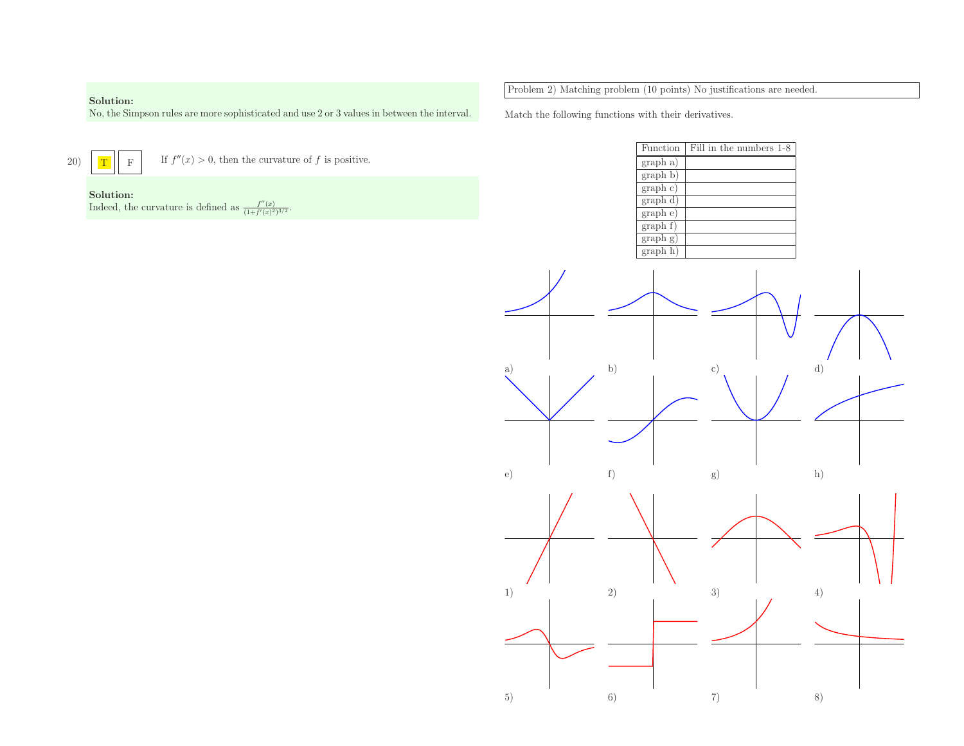### Solution:



| Solution:                                                                                   | Problem 2) Matching problem (10 points) No justifications are needed |  |
|---------------------------------------------------------------------------------------------|----------------------------------------------------------------------|--|
| No, the Simpson rules are more sophisticated and use 2 or 3 values in between the interval. | Match the following functions with their derivatives.                |  |
| T                                                                                           | Fill in the numbers 1-8                                              |  |
| If $f''(x) > 0$ , then the curvature of f is positive.                                      | Function                                                             |  |
| $\mathbf{F}$                                                                                | graph a)                                                             |  |
| Solution:<br>Indeed, the curvature is defined as $\frac{f''(x)}{(1+f'(x)^2)^{3/2}}$ .       | graph b)<br>graph c)<br>graph d)<br>graph e)                         |  |
|                                                                                             | graph f)<br>graph g)<br>graph h)                                     |  |

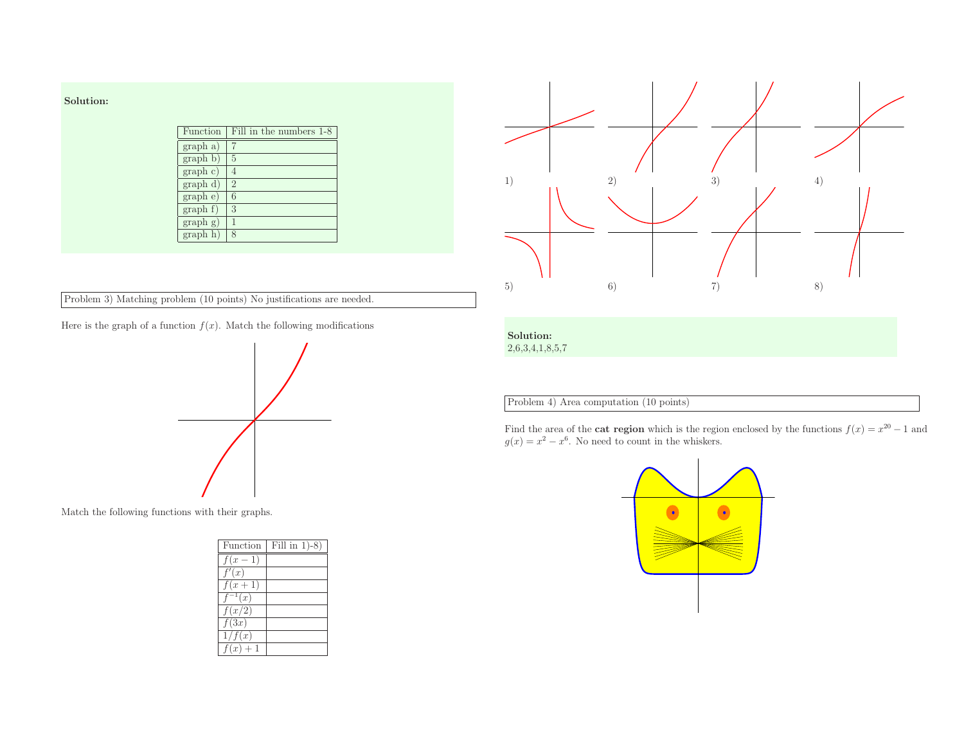| Solution: |          |
|-----------|----------|
|           | Function |
|           | graph a) |
|           | graph b  |
|           |          |

| Function | Fill in the numbers 1-8 |
|----------|-------------------------|
| graph a) |                         |
| graph b) | 5                       |
| graph c) |                         |
| graph d) | $\overline{2}$          |
| graph e) | 6                       |
| graph f) | 3                       |
| graph g) |                         |
| graph h) | 8                       |

Problem 3) Matching problem (10 points) No justifications are needed.

Here is the graph of a function  $f(x)$ . Match the following modifications



Match the following functions with their graphs.

| Function            | Fill in $1)-8$ ) |
|---------------------|------------------|
| $f(x-\overline{1})$ |                  |
| f'(x)               |                  |
| $f(x+1)$            |                  |
| $f^{-1}(x)$         |                  |
| $f(x/\overline{2})$ |                  |
| f(3x)               |                  |
| 1/f(x)              |                  |
| $f(x)+1$            |                  |



## Solution:

2,6,3,4,1,8,5,7

Problem 4) Area computation (10 points)

Find the area of the **cat region** which is the region enclosed by the functions  $f(x) = x^{20} - 1$  and  $g(x) = x^2 - x^6$ . No need to count in the whiskers.

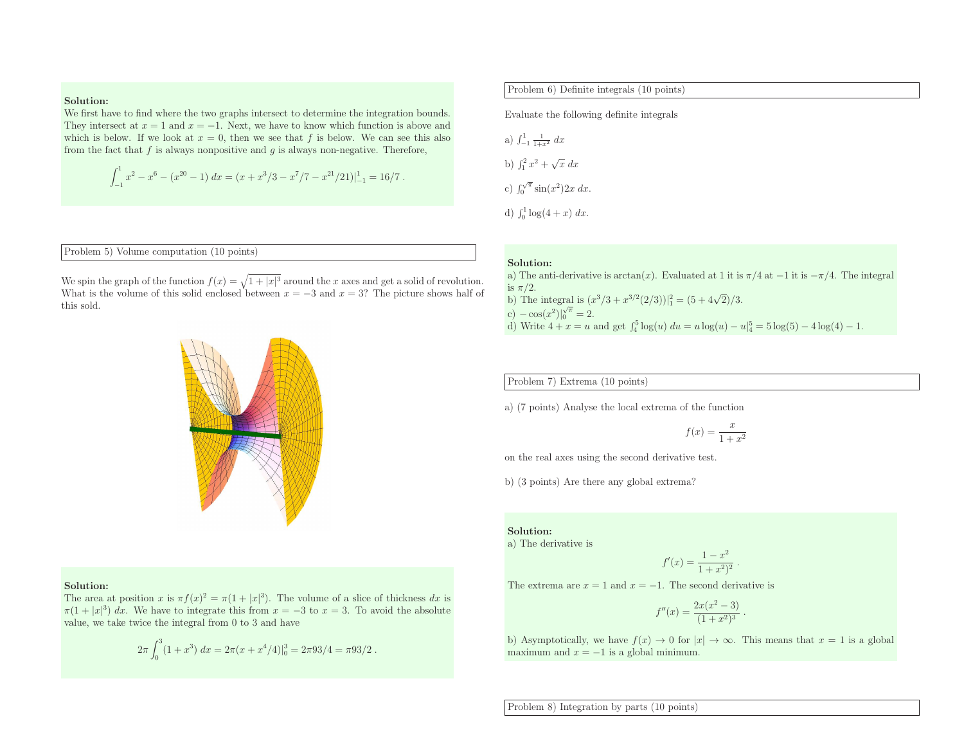### Solution:

 We first have to find where the two graphs intersect to determine the integration bounds. They intersect at  $x = 1$  and  $x = -1$ . Next, we have to know which function is above and which is below. If we look at  $x = 0$ , then we see that f is below. We can see this also from the fact that  $f$  is always nonpositive and  $g$  is always non-negative. Therefore,

$$
\int_{-1}^{1} x^2 - x^6 - (x^{20} - 1) dx = (x + x^3/3 - x^7/7 - x^{21}/21)|_{-1}^{1} = 16/7.
$$

Problem 5) Volume computation (10 points)

We spin the graph of the function  $f(x) = \sqrt{1 + |x|^3}$  around the x axes and get a solid of revolution. What is the volume of this solid enclosed between  $x = -3$  and  $x = 3$ ? The picture shows half of this sold.

### Solution:

The area at position x is  $\pi f(x)^2 = \pi (1 + |x|^3)$ . The volume of a slice of thickness dx is  $\pi(1+|x|^3) dx$ . We have to integrate this from  $x = -3$  to  $x = 3$ . To avoid the absolute value, we take twice the integral from <sup>0</sup> to <sup>3</sup> and have

$$
2\pi \int_0^3 (1+x^3) \ dx = 2\pi (x+x^4/4)|_0^3 = 2\pi 93/4 = \pi 93/2 \ .
$$

a) 
$$
\int_{-1}^{1} \frac{1}{1+x^2} dx
$$
  
\nb)  $\int_{1}^{2} x^2 + \sqrt{x} dx$   
\nc)  $\int_{0}^{\sqrt{\pi}} \sin(x^2) dx$   
\nd)  $\int_{1}^{1} \log(4 + x) dx$ 

$$
f(x) = \frac{x}{1 + x^2}
$$

$$
(x) = \frac{1 - x^2}{1 + x^2)^2}
$$

$$
f''(x) = \frac{2x(x^2 - 3)}{(1 + x^2)^3}.
$$

Problem 8) Integration by parts (10 points)

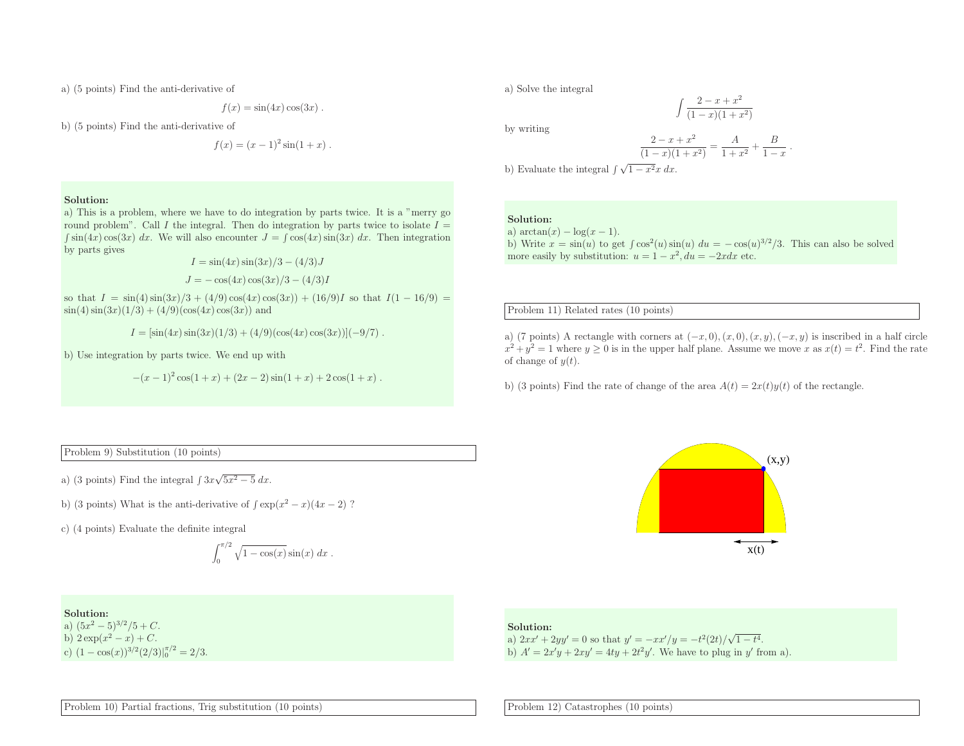a) (5 points) Find the anti-derivative of

$$
f(x) = \sin(4x)\cos(3x) .
$$

b) (5 points) Find the anti-derivative of

$$
f(x) = (x - 1)^2 \sin(1 + x).
$$

Solution:

 a) This is <sup>a</sup> problem, where we have to do integration by parts twice. It is <sup>a</sup> "merry go round problem". Call I the integral. Then do integration by parts twice to isolate  $I =$  $\int \sin(4x) \cos(3x) dx$ . We will also encounter  $J = \int \cos(4x) \sin(3x) dx$ . Then integration by parts <sup>g</sup>ives

$$
I = \sin(4x)\sin(3x)/3 - (4/3)J
$$

$$
J = -\cos(4x)\cos(3x)/3 - (4/3)I
$$

so that  $I = \sin(4) \sin(3x)/3 + (4/9) \cos(4x) \cos(3x) + (16/9)I$  so that  $I(1 - 16/9) =$  $\sin(4)\sin(3x)(1/3) + (4/9)(\cos(4x)\cos(3x))$  and

 $I = [\sin(4x)\sin(3x)(1/3) + (4/9)(\cos(4x)\cos(3x))](-9/7)$ .

b) Use integration by parts twice. We end up with

 $-(x-1)^2 \cos(1+x) + (2x-2) \sin(1+x) + 2 \cos(1+x)$ .

a) Solve the integral

by writing

$$
\frac{2-x+x^2}{(1-x)(1+x^2)} = \frac{A}{1+x^2} + \frac{B}{1-x}.
$$

 $\int \frac{2-x+x^2}{(1-x)(1+x^2)}$ 

b) Evaluate the integral  $\int \sqrt{1 - x^2} x \, dx$ .

### Solution:

a)  $\arctan(x) - \log(x - 1)$ . b) Write  $x = \sin(u)$  to get  $\int \cos^2(u) \sin(u) du = -\cos(u)^{3/2}/3$ . This can also be solved b) write  $x = sin(u)$  to get f cos  $(u) sin(u)$   $uu = -cos(u)$ <br>more easily by substitution:  $u = 1 - x^2$ ,  $du = -2xdx$  etc.

Problem 11) Related rates (10 points)

a) (7 points) A rectangle with corners at  $(-x, 0), (x, 0), (x, y), (-x, y)$  is inscribed in a half circle  $x^2 + y^2 = 1$  where  $y \ge 0$  is in the upper half plane. Assume we move x as  $x(t) = t^2$ . Find the rate of change of  $y(t)$ .

b) (3 points) Find the rate of change of the area  $A(t) = 2x(t)y(t)$  of the rectangle.

Problem 9) Substitution (10 points)

a) (3 points) Find the integral  $\int 3x\sqrt{5x^2 - 5} dx$ .

b) (3 points) What is the anti-derivative of  $\int \exp(x^2 - x)(4x - 2)$ ?

c) (4 points) Evaluate the definite integral

$$
\int_0^{\pi/2} \sqrt{1 - \cos(x)} \sin(x) dx.
$$

Solution:

a)  $(5x^2 - 5)^{3/2}/5 + C$ .<br>b)  $2 \exp(x^2 - x) + C$ . b)  $2 \exp(x^2 - x) + C$ .<br>c)  $(1 - \cos(x))^{3/2} (2/3) \Big|_0^{\pi/2} = 2/3$ .



### Solution:

a)  $2xx' + 2yy' = 0$  so that  $y' = -xx'/y = -t^2(2t)/\sqrt{1-t^2}$ a)  $2xx' + 2yy' = 0$  so that  $y' = -xx'/y = -t^2(2t)/\sqrt{1-t^4}$ .<br>b)  $A' = 2x'y + 2xy' = 4ty + 2t^2y'$ . We have to plug in y' from a).

Problem 10) Partial fractions, Trig substitution (10 points)

Problem 12) Catastrophes (10 points)